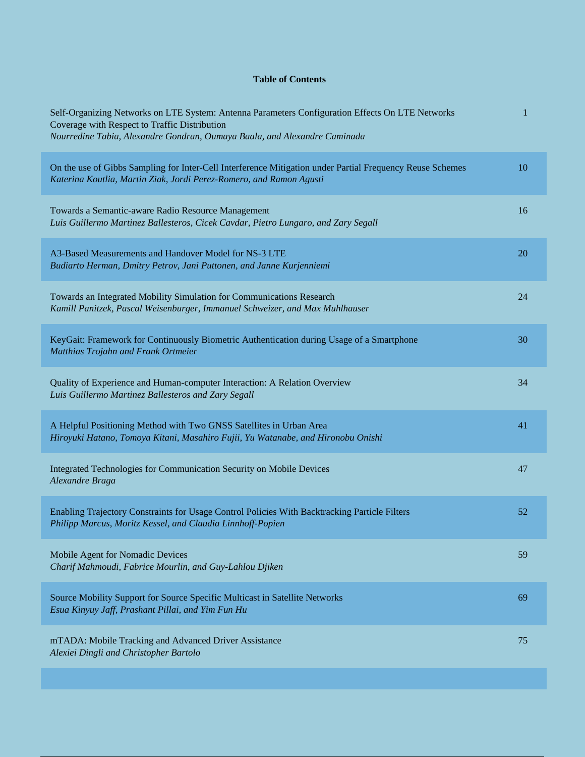## **Table of Contents**

| Self-Organizing Networks on LTE System: Antenna Parameters Configuration Effects On LTE Networks<br>Coverage with Respect to Traffic Distribution<br>Nourredine Tabia, Alexandre Gondran, Oumaya Baala, and Alexandre Caminada | 1  |
|--------------------------------------------------------------------------------------------------------------------------------------------------------------------------------------------------------------------------------|----|
| On the use of Gibbs Sampling for Inter-Cell Interference Mitigation under Partial Frequency Reuse Schemes<br>Katerina Koutlia, Martin Ziak, Jordi Perez-Romero, and Ramon Agusti                                               | 10 |
| Towards a Semantic-aware Radio Resource Management<br>Luis Guillermo Martinez Ballesteros, Cicek Cavdar, Pietro Lungaro, and Zary Segall                                                                                       | 16 |
| A3-Based Measurements and Handover Model for NS-3 LTE<br>Budiarto Herman, Dmitry Petrov, Jani Puttonen, and Janne Kurjenniemi                                                                                                  | 20 |
| Towards an Integrated Mobility Simulation for Communications Research<br>Kamill Panitzek, Pascal Weisenburger, Immanuel Schweizer, and Max Muhlhauser                                                                          | 24 |
| KeyGait: Framework for Continuously Biometric Authentication during Usage of a Smartphone<br>Matthias Trojahn and Frank Ortmeier                                                                                               | 30 |
| Quality of Experience and Human-computer Interaction: A Relation Overview<br>Luis Guillermo Martinez Ballesteros and Zary Segall                                                                                               | 34 |
| A Helpful Positioning Method with Two GNSS Satellites in Urban Area<br>Hiroyuki Hatano, Tomoya Kitani, Masahiro Fujii, Yu Watanabe, and Hironobu Onishi                                                                        | 41 |
| Integrated Technologies for Communication Security on Mobile Devices<br>Alexandre Braga                                                                                                                                        | 47 |
| Enabling Trajectory Constraints for Usage Control Policies With Backtracking Particle Filters<br>Philipp Marcus, Moritz Kessel, and Claudia Linnhoff-Popien                                                                    | 52 |
| Mobile Agent for Nomadic Devices<br>Charif Mahmoudi, Fabrice Mourlin, and Guy-Lahlou Djiken                                                                                                                                    | 59 |
| Source Mobility Support for Source Specific Multicast in Satellite Networks<br>Esua Kinyuy Jaff, Prashant Pillai, and Yim Fun Hu                                                                                               | 69 |
| mTADA: Mobile Tracking and Advanced Driver Assistance<br>Alexiei Dingli and Christopher Bartolo                                                                                                                                | 75 |